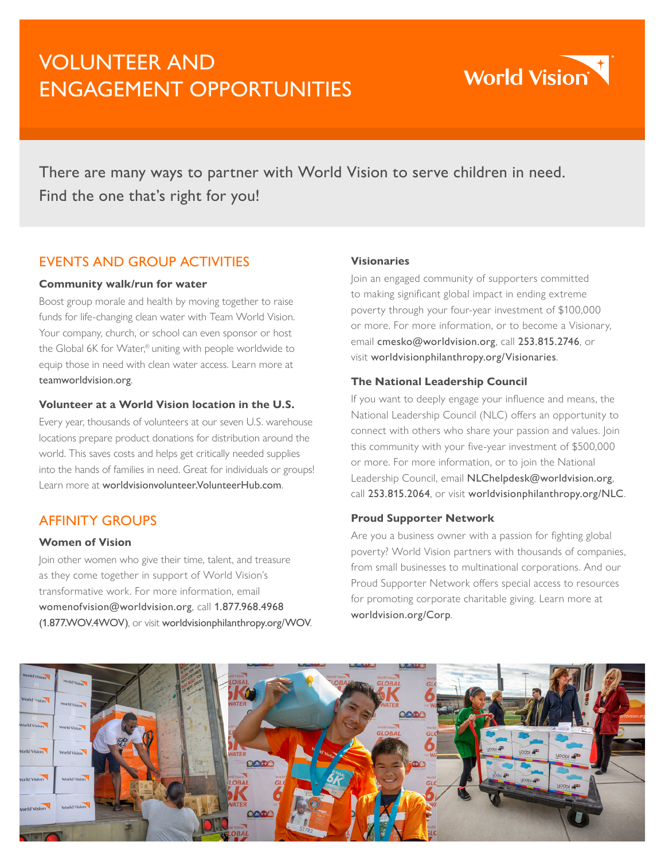# VOLUNTEER AND ENGAGEMENT OPPORTUNITIES



There are many ways to partner with World Vision to serve children in need. Find the one that's right for you!

# EVENTS AND GROUP ACTIVITIES

### **Community walk/run for water**

Boost group morale and health by moving together to raise funds for life-changing clean water with Team World Vision. Your company, church, or school can even sponsor or host the Global 6K for Water,® uniting with people worldwide to equip those in need with clean water access. Learn more at [teamworldvision.org](http://teamworldvision.org).

### **Volunteer at a World Vision location in the U.S.**

Every year, thousands of volunteers at our seven U.S. warehouse locations prepare product donations for distribution around the world. This saves costs and helps get critically needed supplies into the hands of families in need. Great for individuals or groups! Learn more at [worldvisionvolunteer.VolunteerHub.com](http://worldvisionvolunteer.VolunteerHub.com).

# AFFINITY GROUPS

#### **Women of Vision**

Join other women who give their time, talent, and treasure as they come together in support of World Vision's transformative work. For more information, email [womenofvision@worldvision.org](mailto:womenofvision%40worldvision.org?subject=), call 1.877.968.4968 (1.877.WOV.4WOV), or visit [worldvisionphilanthropy.org/WOV](https://www.worldvisionphilanthropy.org/wov).

### **Visionaries**

Join an engaged community of supporters committed to making significant global impact in ending extreme poverty through your four-year investment of \$100,000 or more. For more information, or to become a Visionary, email [cmesko@worldvision.org](mailto:cmesko%40worldvision.org?subject=), call 253.815.2746, or visit [worldvisionphilanthropy.org/Visionaries](https://www.worldvisionphilanthropy.org/visionaries).

### **The National Leadership Council**

If you want to deeply engage your influence and means, the National Leadership Council (NLC) offers an opportunity to connect with others who share your passion and values. Join this community with your five-year investment of \$500,000 or more. For more information, or to join the National Leadership Council, email [NLChelpdesk@worldvision.org](mailto:NLChelpdesk%40worldvision.org?subject=), call 253.815.2064, or visit [worldvisionphilanthropy.org/NLC](https://www.worldvisionphilanthropy.org/NLC).

### **Proud Supporter Network**

Are you a business owner with a passion for fighting global poverty? World Vision partners with thousands of companies, from small businesses to multinational corporations. And our Proud Supporter Network offers special access to resources for promoting corporate charitable giving. Learn more at [worldvision.org/Corp](http://worldvision.org/corp).